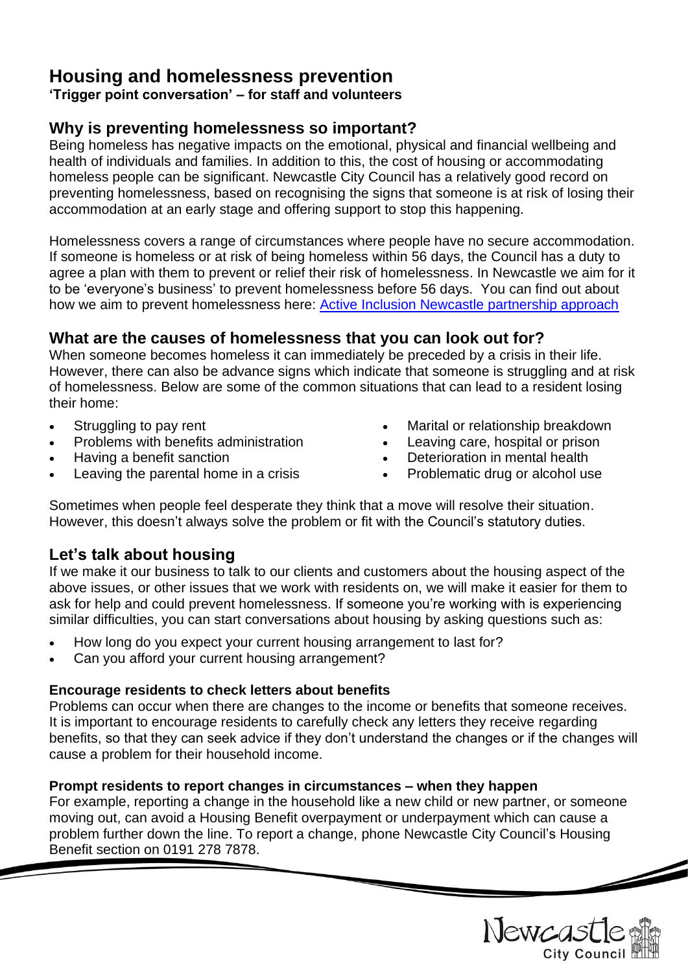# **Housing and homelessness prevention**

**'Trigger point conversation' – for staff and volunteers**

# **Why is preventing homelessness so important?**

Being homeless has negative impacts on the emotional, physical and financial wellbeing and health of individuals and families. In addition to this, the cost of housing or accommodating homeless people can be significant. Newcastle City Council has a relatively good record on preventing homelessness, based on recognising the signs that someone is at risk of losing their accommodation at an early stage and offering support to stop this happening.

Homelessness covers a range of circumstances where people have no secure accommodation. If someone is homeless or at risk of being homeless within 56 days, the Council has a duty to agree a plan with them to prevent or relief their risk of homelessness. In Newcastle we aim for it to be 'everyone's business' to prevent homelessness before 56 days. You can find out about how we aim to prevent homelessness here: [Active Inclusion Newcastle partnership approach](https://www.newcastle.gov.uk/sites/default/files/wwwfileroot/housing/housing-advice-and-homelessness/active_inclusion_newcastle_-_briefing_note_november_2017.pdf)

# **What are the causes of homelessness that you can look out for?**

When someone becomes homeless it can immediately be preceded by a crisis in their life. However, there can also be advance signs which indicate that someone is struggling and at risk of homelessness. Below are some of the common situations that can lead to a resident losing their home:

- Struggling to pay rent
- Problems with benefits administration
- Having a benefit sanction
- Leaving the parental home in a crisis
- Marital or relationship breakdown
- Leaving care, hospital or prison
- Deterioration in mental health
- Problematic drug or alcohol use

Sometimes when people feel desperate they think that a move will resolve their situation. However, this doesn't always solve the problem or fit with the Council's statutory duties.

# **Let's talk about housing**

If we make it our business to talk to our clients and customers about the housing aspect of the above issues, or other issues that we work with residents on, we will make it easier for them to ask for help and could prevent homelessness. If someone you're working with is experiencing similar difficulties, you can start conversations about housing by asking questions such as:

- How long do you expect your current housing arrangement to last for?
- Can you afford your current housing arrangement?

### **Encourage residents to check letters about benefits**

Problems can occur when there are changes to the income or benefits that someone receives. It is important to encourage residents to carefully check any letters they receive regarding benefits, so that they can seek advice if they don't understand the changes or if the changes will cause a problem for their household income.

### **Prompt residents to report changes in circumstances – when they happen**

For example, reporting a change in the household like a new child or new partner, or someone moving out, can avoid a Housing Benefit overpayment or underpayment which can cause a problem further down the line. To report a change, phone Newcastle City Council's Housing Benefit section on 0191 278 7878.

Newcas City Council